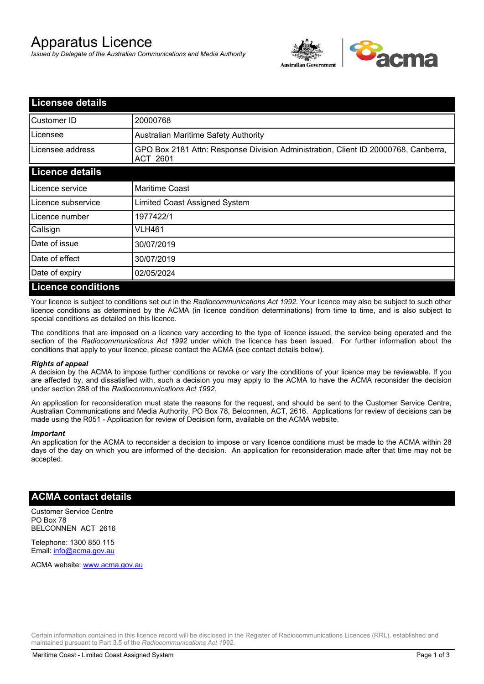# Apparatus Licence

*Issued by Delegate of the Australian Communications and Media Authority*



| <b>Licensee details</b>   |                                                                                                       |  |
|---------------------------|-------------------------------------------------------------------------------------------------------|--|
| Customer ID               | 20000768                                                                                              |  |
| Licensee                  | <b>Australian Maritime Safety Authority</b>                                                           |  |
| Licensee address          | GPO Box 2181 Attn: Response Division Administration, Client ID 20000768, Canberra,<br><b>ACT 2601</b> |  |
| <b>Licence details</b>    |                                                                                                       |  |
| Licence service           | <b>Maritime Coast</b>                                                                                 |  |
| Licence subservice        | Limited Coast Assigned System                                                                         |  |
| Licence number            | 1977422/1                                                                                             |  |
| Callsign                  | <b>VLH461</b>                                                                                         |  |
| Date of issue             | 30/07/2019                                                                                            |  |
| Date of effect            | 30/07/2019                                                                                            |  |
| Date of expiry            | 02/05/2024                                                                                            |  |
| <b>Licence conditions</b> |                                                                                                       |  |

Your licence is subject to conditions set out in the *Radiocommunications Act 1992*. Your licence may also be subject to such other licence conditions as determined by the ACMA (in licence condition determinations) from time to time, and is also subject to special conditions as detailed on this licence.

The conditions that are imposed on a licence vary according to the type of licence issued, the service being operated and the section of the *Radiocommunications Act 1992* under which the licence has been issued. For further information about the conditions that apply to your licence, please contact the ACMA (see contact details below).

#### *Rights of appeal*

A decision by the ACMA to impose further conditions or revoke or vary the conditions of your licence may be reviewable. If you are affected by, and dissatisfied with, such a decision you may apply to the ACMA to have the ACMA reconsider the decision under section 288 of the *Radiocommunications Act 1992*.

An application for reconsideration must state the reasons for the request, and should be sent to the Customer Service Centre, Australian Communications and Media Authority, PO Box 78, Belconnen, ACT, 2616. Applications for review of decisions can be made using the R051 - Application for review of Decision form, available on the ACMA website.

#### *Important*

An application for the ACMA to reconsider a decision to impose or vary licence conditions must be made to the ACMA within 28 days of the day on which you are informed of the decision. An application for reconsideration made after that time may not be accepted.

### **ACMA contact details**

Customer Service Centre PO Box 78 BELCONNEN ACT 2616

Telephone: 1300 850 115 Email: info@acma.gov.au

ACMA website: www.acma.gov.au

Certain information contained in this licence record will be disclosed in the Register of Radiocommunications Licences (RRL), established and maintained pursuant to Part 3.5 of the *Radiocommunications Act 1992.*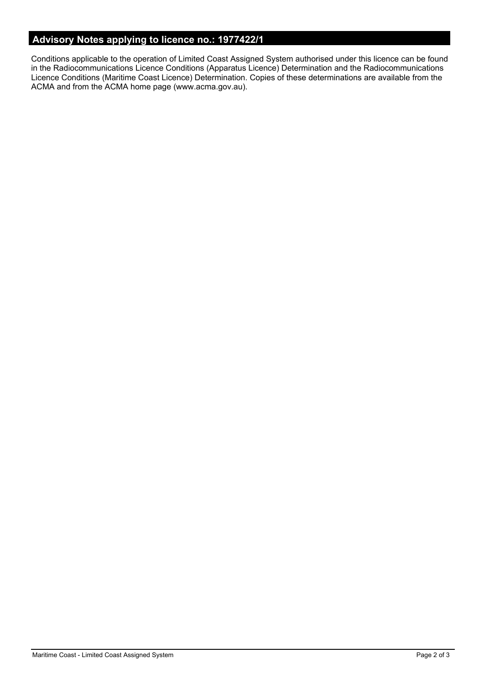## **Advisory Notes applying to licence no.: 1977422/1**

Conditions applicable to the operation of Limited Coast Assigned System authorised under this licence can be found in the Radiocommunications Licence Conditions (Apparatus Licence) Determination and the Radiocommunications Licence Conditions (Maritime Coast Licence) Determination. Copies of these determinations are available from the ACMA and from the ACMA home page (www.acma.gov.au).